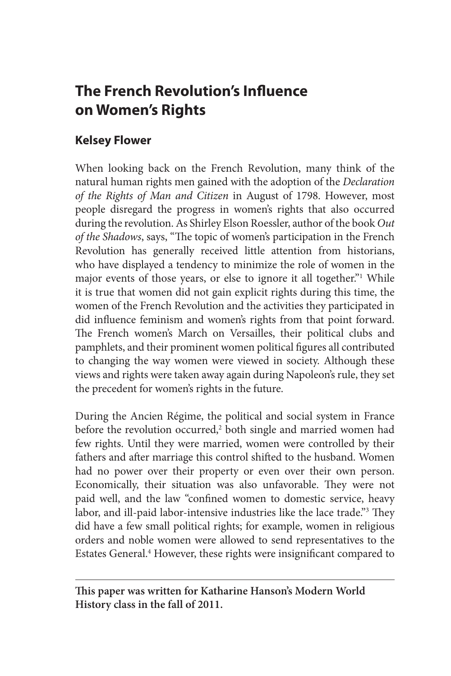# **The French Revolution's Influence on Women's Rights**

# **Kelsey Flower**

When looking back on the French Revolution, many think of the natural human rights men gained with the adoption of the *Declaration of the Rights of Man and Citizen* in August of 1798. However, most people disregard the progress in women's rights that also occurred during the revolution. As Shirley Elson Roessler, author of the book *Out of the Shadows*, says, "The topic of women's participation in the French Revolution has generally received little attention from historians, who have displayed a tendency to minimize the role of women in the major events of those years, or else to ignore it all together."<sup>1</sup> While it is true that women did not gain explicit rights during this time, the women of the French Revolution and the activities they participated in did influence feminism and women's rights from that point forward. The French women's March on Versailles, their political clubs and pamphlets, and their prominent women political figures all contributed to changing the way women were viewed in society. Although these views and rights were taken away again during Napoleon's rule, they set the precedent for women's rights in the future.

During the Ancien Régime, the political and social system in France before the revolution occurred,<sup>2</sup> both single and married women had few rights. Until they were married, women were controlled by their fathers and after marriage this control shifted to the husband. Women had no power over their property or even over their own person. Economically, their situation was also unfavorable. They were not paid well, and the law "confined women to domestic service, heavy labor, and ill-paid labor-intensive industries like the lace trade."3 They did have a few small political rights; for example, women in religious orders and noble women were allowed to send representatives to the Estates General.<sup>4</sup> However, these rights were insignificant compared to

**This paper was written for Katharine Hanson's Modern World History class in the fall of 2011.**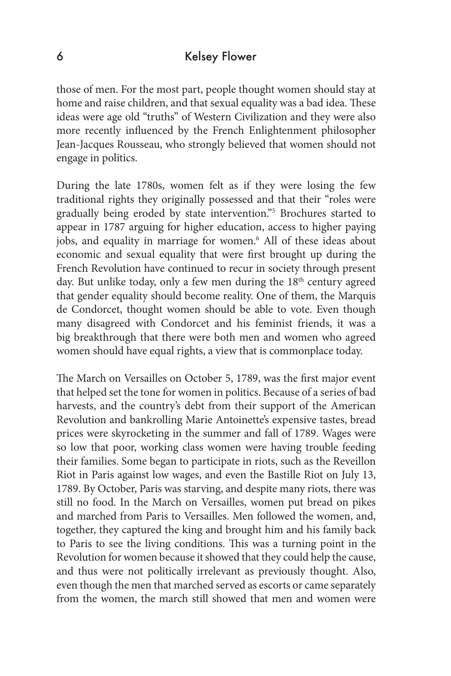### 6 Kelsey Flower

those of men. For the most part, people thought women should stay at home and raise children, and that sexual equality was a bad idea. These ideas were age old "truths" of Western Civilization and they were also more recently influenced by the French Enlightenment philosopher Jean-Jacques Rousseau, who strongly believed that women should not engage in politics.

During the late 1780s, women felt as if they were losing the few traditional rights they originally possessed and that their "roles were gradually being eroded by state intervention."5 Brochures started to appear in 1787 arguing for higher education, access to higher paying jobs, and equality in marriage for women.<sup>6</sup> All of these ideas about economic and sexual equality that were first brought up during the French Revolution have continued to recur in society through present day. But unlike today, only a few men during the 18<sup>th</sup> century agreed that gender equality should become reality. One of them, the Marquis de Condorcet, thought women should be able to vote. Even though many disagreed with Condorcet and his feminist friends, it was a big breakthrough that there were both men and women who agreed women should have equal rights, a view that is commonplace today.

The March on Versailles on October 5, 1789, was the first major event that helped set the tone for women in politics. Because of a series of bad harvests, and the country's debt from their support of the American Revolution and bankrolling Marie Antoinette's expensive tastes, bread prices were skyrocketing in the summer and fall of 1789. Wages were so low that poor, working class women were having trouble feeding their families. Some began to participate in riots, such as the Reveillon Riot in Paris against low wages, and even the Bastille Riot on July 13, 1789. By October, Paris was starving, and despite many riots, there was still no food. In the March on Versailles, women put bread on pikes and marched from Paris to Versailles. Men followed the women, and, together, they captured the king and brought him and his family back to Paris to see the living conditions. This was a turning point in the Revolution for women because it showed that they could help the cause, and thus were not politically irrelevant as previously thought. Also, even though the men that marched served as escorts or came separately from the women, the march still showed that men and women were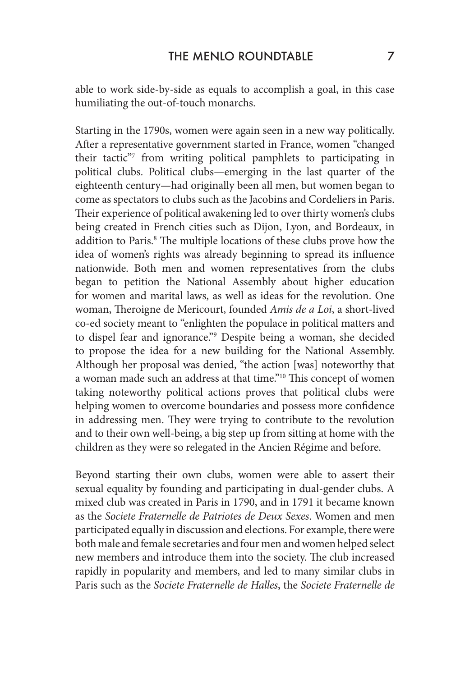able to work side-by-side as equals to accomplish a goal, in this case humiliating the out-of-touch monarchs.

Starting in the 1790s, women were again seen in a new way politically. After a representative government started in France, women "changed their tactic"7 from writing political pamphlets to participating in political clubs. Political clubs—emerging in the last quarter of the eighteenth century—had originally been all men, but women began to come as spectators to clubs such as the Jacobins and Cordeliers in Paris. Their experience of political awakening led to over thirty women's clubs being created in French cities such as Dijon, Lyon, and Bordeaux, in addition to Paris.<sup>8</sup> The multiple locations of these clubs prove how the idea of women's rights was already beginning to spread its influence nationwide. Both men and women representatives from the clubs began to petition the National Assembly about higher education for women and marital laws, as well as ideas for the revolution. One woman, Theroigne de Mericourt, founded *Amis de a Loi*, a short-lived co-ed society meant to "enlighten the populace in political matters and to dispel fear and ignorance."9 Despite being a woman, she decided to propose the idea for a new building for the National Assembly. Although her proposal was denied, "the action [was] noteworthy that a woman made such an address at that time."10 This concept of women taking noteworthy political actions proves that political clubs were helping women to overcome boundaries and possess more confidence in addressing men. They were trying to contribute to the revolution and to their own well-being, a big step up from sitting at home with the children as they were so relegated in the Ancien Régime and before.

Beyond starting their own clubs, women were able to assert their sexual equality by founding and participating in dual-gender clubs. A mixed club was created in Paris in 1790, and in 1791 it became known as the *Societe Fraternelle de Patriotes de Deux Sexes*. Women and men participated equally in discussion and elections. For example, there were both male and female secretaries and four men and women helped select new members and introduce them into the society. The club increased rapidly in popularity and members, and led to many similar clubs in Paris such as the *Societe Fraternelle de Halles*, the *Societe Fraternelle de*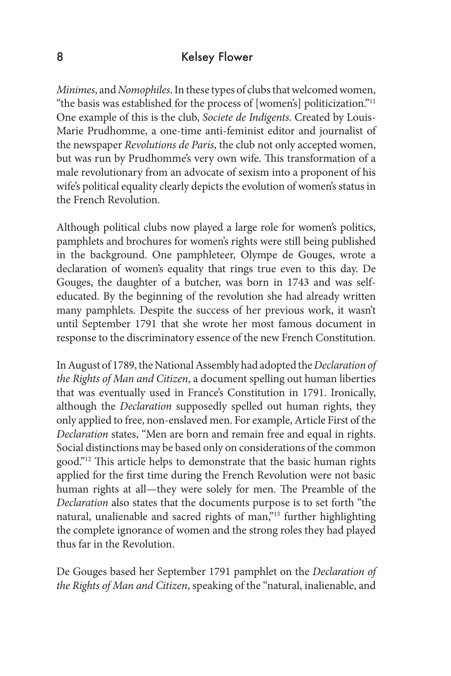#### 8 Kelsey Flower

*Minimes*, and *Nomophiles*. In these types of clubs that welcomed women, "the basis was established for the process of [women's] politicization."11 One example of this is the club, *Societe de Indigents*. Created by Louis-Marie Prudhomme, a one-time anti-feminist editor and journalist of the newspaper *Revolutions de Paris*, the club not only accepted women, but was run by Prudhomme's very own wife. This transformation of a male revolutionary from an advocate of sexism into a proponent of his wife's political equality clearly depicts the evolution of women's status in the French Revolution.

Although political clubs now played a large role for women's politics, pamphlets and brochures for women's rights were still being published in the background. One pamphleteer, Olympe de Gouges, wrote a declaration of women's equality that rings true even to this day. De Gouges, the daughter of a butcher, was born in 1743 and was selfeducated. By the beginning of the revolution she had already written many pamphlets. Despite the success of her previous work, it wasn't until September 1791 that she wrote her most famous document in response to the discriminatory essence of the new French Constitution.

In August of 1789, the National Assembly had adopted the *Declaration of the Rights of Man and Citizen*, a document spelling out human liberties that was eventually used in France's Constitution in 1791. Ironically, although the *Declaration* supposedly spelled out human rights, they only applied to free, non-enslaved men. For example, Article First of the *Declaration* states, "Men are born and remain free and equal in rights. Social distinctions may be based only on considerations of the common good."12 This article helps to demonstrate that the basic human rights applied for the first time during the French Revolution were not basic human rights at all—they were solely for men. The Preamble of the *Declaration* also states that the documents purpose is to set forth "the natural, unalienable and sacred rights of man,"<sup>13</sup> further highlighting the complete ignorance of women and the strong roles they had played thus far in the Revolution.

De Gouges based her September 1791 pamphlet on the *Declaration of the Rights of Man and Citizen*, speaking of the "natural, inalienable, and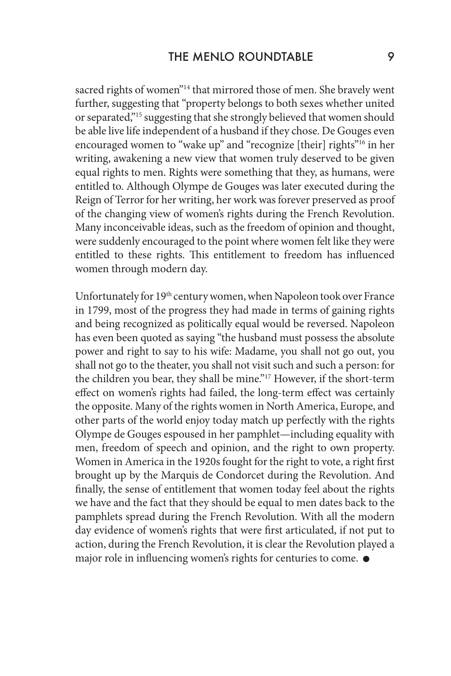sacred rights of women"<sup>14</sup> that mirrored those of men. She bravely went further, suggesting that "property belongs to both sexes whether united or separated,"15 suggesting that she strongly believed that women should be able live life independent of a husband if they chose. De Gouges even encouraged women to "wake up" and "recognize [their] rights"<sup>16</sup> in her writing, awakening a new view that women truly deserved to be given equal rights to men. Rights were something that they, as humans, were entitled to. Although Olympe de Gouges was later executed during the Reign of Terror for her writing, her work was forever preserved as proof of the changing view of women's rights during the French Revolution. Many inconceivable ideas, such as the freedom of opinion and thought, were suddenly encouraged to the point where women felt like they were entitled to these rights. This entitlement to freedom has influenced women through modern day.

Unfortunately for 19th century women, when Napoleon took over France in 1799, most of the progress they had made in terms of gaining rights and being recognized as politically equal would be reversed. Napoleon has even been quoted as saying "the husband must possess the absolute power and right to say to his wife: Madame, you shall not go out, you shall not go to the theater, you shall not visit such and such a person: for the children you bear, they shall be mine."17 However, if the short-term effect on women's rights had failed, the long-term effect was certainly the opposite. Many of the rights women in North America, Europe, and other parts of the world enjoy today match up perfectly with the rights Olympe de Gouges espoused in her pamphlet—including equality with men, freedom of speech and opinion, and the right to own property. Women in America in the 1920s fought for the right to vote, a right first brought up by the Marquis de Condorcet during the Revolution. And finally, the sense of entitlement that women today feel about the rights we have and the fact that they should be equal to men dates back to the pamphlets spread during the French Revolution. With all the modern day evidence of women's rights that were first articulated, if not put to action, during the French Revolution, it is clear the Revolution played a major role in influencing women's rights for centuries to come.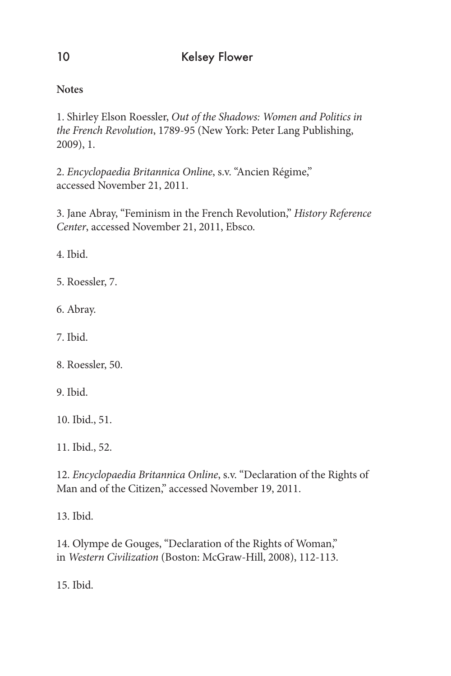**Notes**

1. Shirley Elson Roessler, *Out of the Shadows: Women and Politics in the French Revolution*, 1789-95 (New York: Peter Lang Publishing, 2009), 1.

2. *Encyclopaedia Britannica Online*, s.v. "Ancien Régime," accessed November 21, 2011.

3. Jane Abray, "Feminism in the French Revolution," *History Reference Center*, accessed November 21, 2011, Ebsco.

4. Ibid.

5. Roessler, 7.

6. Abray.

7. Ibid.

8. Roessler, 50.

9. Ibid.

10. Ibid., 51.

11. Ibid., 52.

12. *Encyclopaedia Britannica Online*, s.v. "Declaration of the Rights of Man and of the Citizen," accessed November 19, 2011.

13. Ibid.

14. Olympe de Gouges, "Declaration of the Rights of Woman," in *Western Civilization* (Boston: McGraw-Hill, 2008), 112-113.

15. Ibid.